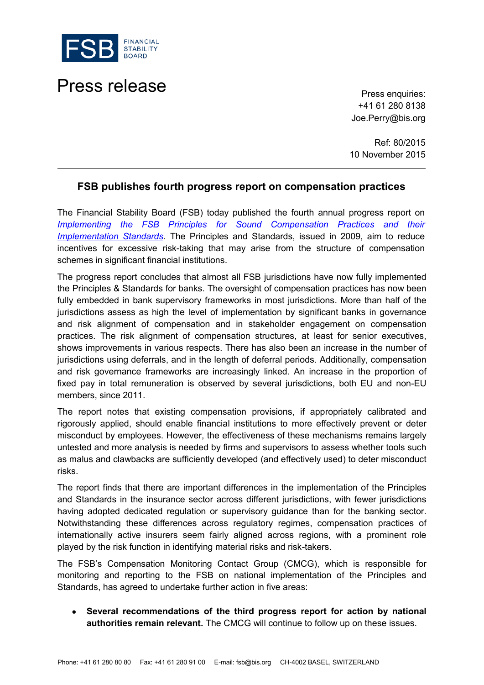

## Press release **Press release**

+41 61 280 8138 Joe.Perry@bis.org

Ref: 80/2015 10 November 2015

## **FSB publishes fourth progress report on compensation practices**

The Financial Stability Board (FSB) today published the fourth annual progress report on **Implementing the FSB Principles for Sound Compensation Practices and their** *Implementation Standards*. The Principles and Standards, issued in 2009, aim to reduce incentives for excessive risk-taking that may arise from the structure of compensation schemes in significant financial institutions.

The progress report concludes that almost all FSB jurisdictions have now fully implemented the Principles & Standards for banks. The oversight of compensation practices has now been fully embedded in bank supervisory frameworks in most jurisdictions. More than half of the jurisdictions assess as high the level of implementation by significant banks in governance and risk alignment of compensation and in stakeholder engagement on compensation practices. The risk alignment of compensation structures, at least for senior executives, shows improvements in various respects. There has also been an increase in the number of jurisdictions using deferrals, and in the length of deferral periods. Additionally, compensation and risk governance frameworks are increasingly linked. An increase in the proportion of fixed pay in total remuneration is observed by several jurisdictions, both EU and non-EU members, since 2011.

The report notes that existing compensation provisions, if appropriately calibrated and rigorously applied, should enable financial institutions to more effectively prevent or deter misconduct by employees. However, the effectiveness of these mechanisms remains largely untested and more analysis is needed by firms and supervisors to assess whether tools such as malus and clawbacks are sufficiently developed (and effectively used) to deter misconduct risks.

The report finds that there are important differences in the implementation of the Principles and Standards in the insurance sector across different jurisdictions, with fewer jurisdictions having adopted dedicated regulation or supervisory guidance than for the banking sector. Notwithstanding these differences across regulatory regimes, compensation practices of internationally active insurers seem fairly aligned across regions, with a prominent role played by the risk function in identifying material risks and risk-takers.

The FSB's Compensation Monitoring Contact Group (CMCG), which is responsible for monitoring and reporting to the FSB on national implementation of the Principles and Standards, has agreed to undertake further action in five areas:

• **Several recommendations of the third progress report for action by national authorities remain relevant.** The CMCG will continue to follow up on these issues.